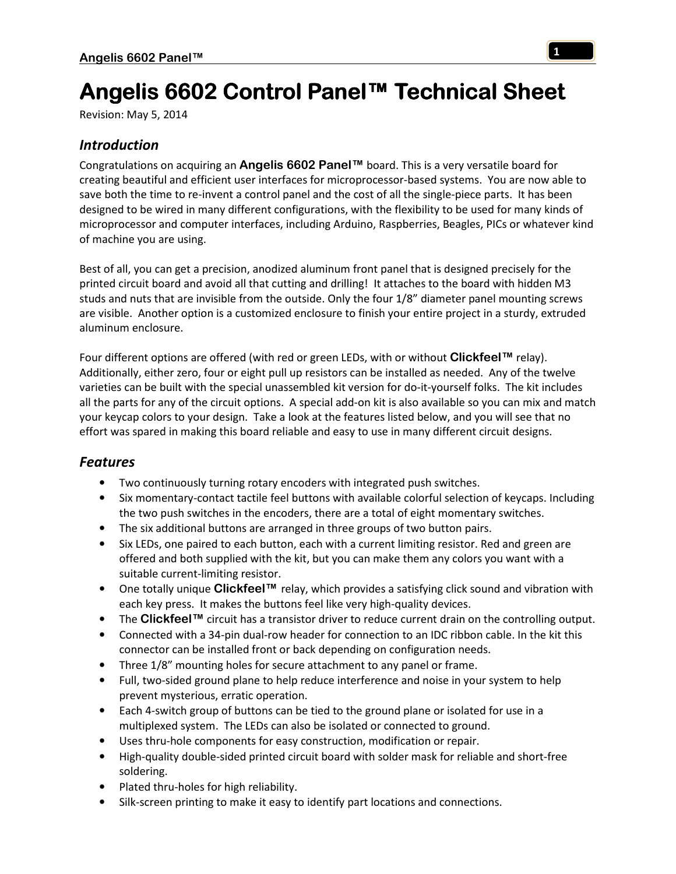# Angelis 6602 Control Panel™ Technical Sheet

Revision: May 5, 2014

# *Introduction*

Congratulations on acquiring an **Angelis 6602 Panel™** board. This is a very versatile board for creating beautiful and efficient user interfaces for microprocessor-based systems. You are now able to save both the time to re-invent a control panel and the cost of all the single-piece parts. It has been designed to be wired in many different configurations, with the flexibility to be used for many kinds of microprocessor and computer interfaces, including Arduino, Raspberries, Beagles, PICs or whatever kind of machine you are using.

Best of all, you can get a precision, anodized aluminum front panel that is designed precisely for the printed circuit board and avoid all that cutting and drilling! It attaches to the board with hidden M3 studs and nuts that are invisible from the outside. Only the four 1/8" diameter panel mounting screws are visible. Another option is a customized enclosure to finish your entire project in a sturdy, extruded aluminum enclosure.

Four different options are offered (with red or green LEDs, with or without **Clickfeel™** relay). Additionally, either zero, four or eight pull up resistors can be installed as needed. Any of the twelve varieties can be built with the special unassembled kit version for do-it-yourself folks. The kit includes all the parts for any of the circuit options. A special add-on kit is also available so you can mix and match your keycap colors to your design. Take a look at the features listed below, and you will see that no effort was spared in making this board reliable and easy to use in many different circuit designs.

# *Features*

- Two continuously turning rotary encoders with integrated push switches.
- Six momentary-contact tactile feel buttons with available colorful selection of keycaps. Including the two push switches in the encoders, there are a total of eight momentary switches.
- The six additional buttons are arranged in three groups of two button pairs.
- Six LEDs, one paired to each button, each with a current limiting resistor. Red and green are offered and both supplied with the kit, but you can make them any colors you want with a suitable current-limiting resistor.
- One totally unique **Clickfeel™** relay, which provides a satisfying click sound and vibration with each key press. It makes the buttons feel like very high-quality devices.
- The **Clickfeel™** circuit has a transistor driver to reduce current drain on the controlling output.
- Connected with a 34-pin dual-row header for connection to an IDC ribbon cable. In the kit this connector can be installed front or back depending on configuration needs.
- Three 1/8" mounting holes for secure attachment to any panel or frame.
- Full, two-sided ground plane to help reduce interference and noise in your system to help prevent mysterious, erratic operation.
- Each 4-switch group of buttons can be tied to the ground plane or isolated for use in a multiplexed system. The LEDs can also be isolated or connected to ground.
- Uses thru-hole components for easy construction, modification or repair.
- High-quality double-sided printed circuit board with solder mask for reliable and short-free soldering.
- Plated thru-holes for high reliability.
- Silk-screen printing to make it easy to identify part locations and connections.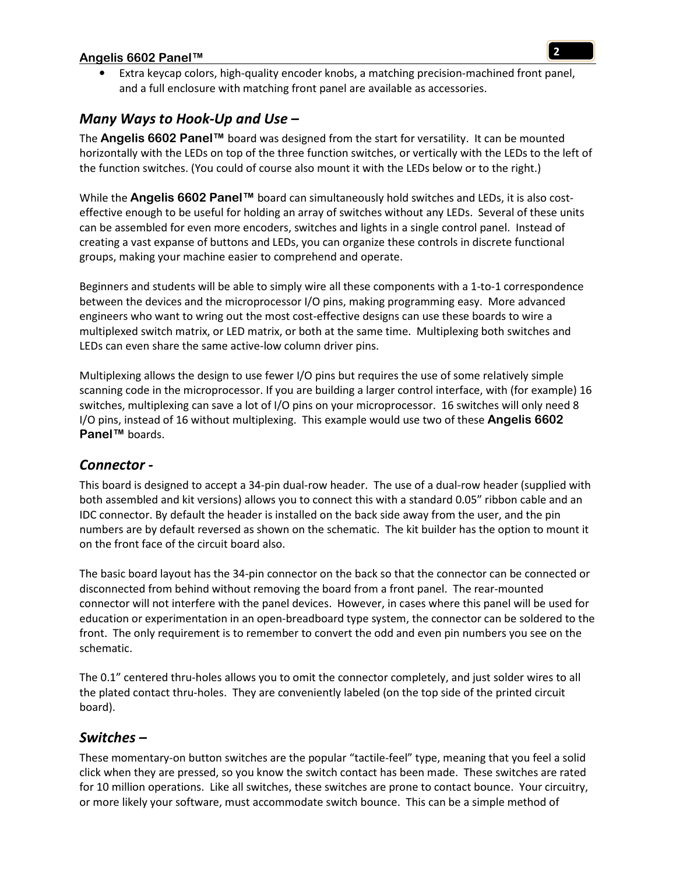• Extra keycap colors, high-quality encoder knobs, a matching precision-machined front panel, and a full enclosure with matching front panel are available as accessories.

# *Many Ways to Hook-Up and Use –*

The **Angelis 6602 Panel™** board was designed from the start for versatility. It can be mounted horizontally with the LEDs on top of the three function switches, or vertically with the LEDs to the left of the function switches. (You could of course also mount it with the LEDs below or to the right.)

While the **Angelis 6602 Panel™** board can simultaneously hold switches and LEDs, it is also costeffective enough to be useful for holding an array of switches without any LEDs. Several of these units can be assembled for even more encoders, switches and lights in a single control panel. Instead of creating a vast expanse of buttons and LEDs, you can organize these controls in discrete functional groups, making your machine easier to comprehend and operate.

Beginners and students will be able to simply wire all these components with a 1-to-1 correspondence between the devices and the microprocessor I/O pins, making programming easy. More advanced engineers who want to wring out the most cost-effective designs can use these boards to wire a multiplexed switch matrix, or LED matrix, or both at the same time. Multiplexing both switches and LEDs can even share the same active-low column driver pins.

Multiplexing allows the design to use fewer I/O pins but requires the use of some relatively simple scanning code in the microprocessor. If you are building a larger control interface, with (for example) 16 switches, multiplexing can save a lot of I/O pins on your microprocessor. 16 switches will only need 8 I/O pins, instead of 16 without multiplexing. This example would use two of these **Angelis 6602 Panel™** boards.

#### *Connector -*

This board is designed to accept a 34-pin dual-row header. The use of a dual-row header (supplied with both assembled and kit versions) allows you to connect this with a standard 0.05" ribbon cable and an IDC connector. By default the header is installed on the back side away from the user, and the pin numbers are by default reversed as shown on the schematic. The kit builder has the option to mount it on the front face of the circuit board also.

The basic board layout has the 34-pin connector on the back so that the connector can be connected or disconnected from behind without removing the board from a front panel. The rear-mounted connector will not interfere with the panel devices. However, in cases where this panel will be used for education or experimentation in an open-breadboard type system, the connector can be soldered to the front. The only requirement is to remember to convert the odd and even pin numbers you see on the schematic.

The 0.1" centered thru-holes allows you to omit the connector completely, and just solder wires to all the plated contact thru-holes. They are conveniently labeled (on the top side of the printed circuit board).

## *Switches –*

These momentary-on button switches are the popular "tactile-feel" type, meaning that you feel a solid click when they are pressed, so you know the switch contact has been made. These switches are rated for 10 million operations. Like all switches, these switches are prone to contact bounce. Your circuitry, or more likely your software, must accommodate switch bounce. This can be a simple method of

**2**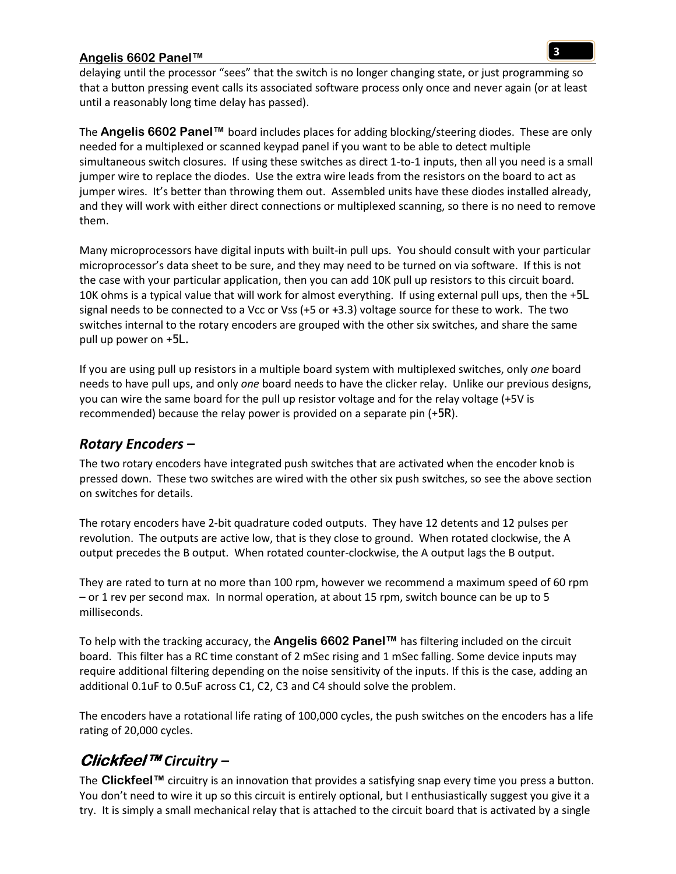delaying until the processor "sees" that the switch is no longer changing state, or just programming so that a button pressing event calls its associated software process only once and never again (or at least until a reasonably long time delay has passed).

The **Angelis 6602 Panel™** board includes places for adding blocking/steering diodes. These are only needed for a multiplexed or scanned keypad panel if you want to be able to detect multiple simultaneous switch closures. If using these switches as direct 1-to-1 inputs, then all you need is a small jumper wire to replace the diodes. Use the extra wire leads from the resistors on the board to act as jumper wires. It's better than throwing them out. Assembled units have these diodes installed already, and they will work with either direct connections or multiplexed scanning, so there is no need to remove them.

Many microprocessors have digital inputs with built-in pull ups. You should consult with your particular microprocessor's data sheet to be sure, and they may need to be turned on via software. If this is not the case with your particular application, then you can add 10K pull up resistors to this circuit board. 10K ohms is a typical value that will work for almost everything. If using external pull ups, then the +5L signal needs to be connected to a Vcc or Vss (+5 or +3.3) voltage source for these to work. The two switches internal to the rotary encoders are grouped with the other six switches, and share the same pull up power on +5L.

If you are using pull up resistors in a multiple board system with multiplexed switches, only *one* board needs to have pull ups, and only *one* board needs to have the clicker relay. Unlike our previous designs, you can wire the same board for the pull up resistor voltage and for the relay voltage (+5V is recommended) because the relay power is provided on a separate pin (+5R).

## *Rotary Encoders –*

The two rotary encoders have integrated push switches that are activated when the encoder knob is pressed down. These two switches are wired with the other six push switches, so see the above section on switches for details.

The rotary encoders have 2-bit quadrature coded outputs. They have 12 detents and 12 pulses per revolution. The outputs are active low, that is they close to ground. When rotated clockwise, the A output precedes the B output. When rotated counter-clockwise, the A output lags the B output.

They are rated to turn at no more than 100 rpm, however we recommend a maximum speed of 60 rpm – or 1 rev per second max. In normal operation, at about 15 rpm, switch bounce can be up to 5 milliseconds.

To help with the tracking accuracy, the **Angelis 6602 Panel™** has filtering included on the circuit board. This filter has a RC time constant of 2 mSec rising and 1 mSec falling. Some device inputs may require additional filtering depending on the noise sensitivity of the inputs. If this is the case, adding an additional 0.1uF to 0.5uF across C1, C2, C3 and C4 should solve the problem.

The encoders have a rotational life rating of 100,000 cycles, the push switches on the encoders has a life rating of 20,000 cycles.

# **Clickfeel™** *Circuitry –*

The **Clickfeel™** circuitry is an innovation that provides a satisfying snap every time you press a button. You don't need to wire it up so this circuit is entirely optional, but I enthusiastically suggest you give it a try. It is simply a small mechanical relay that is attached to the circuit board that is activated by a single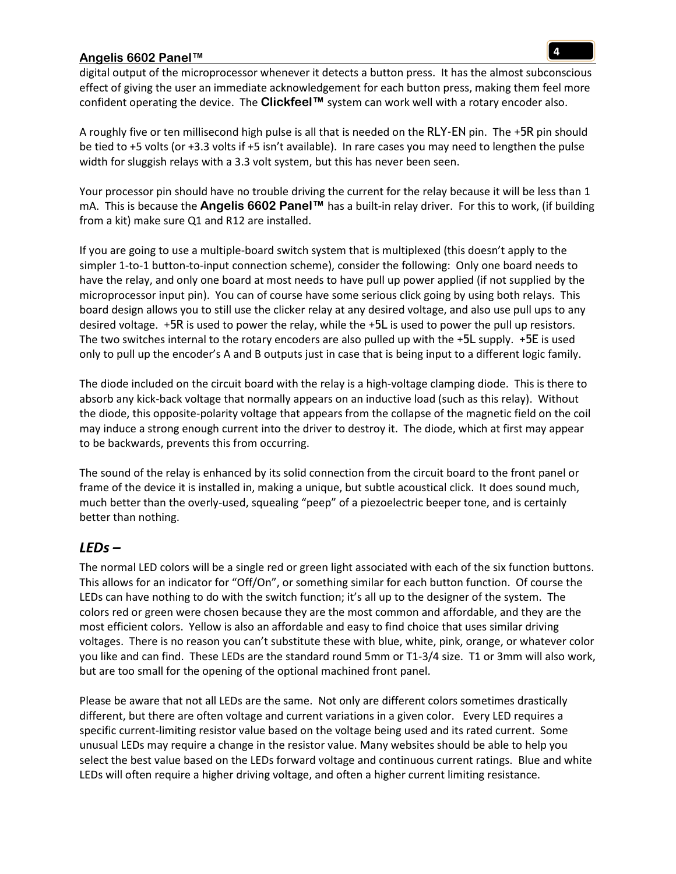digital output of the microprocessor whenever it detects a button press. It has the almost subconscious effect of giving the user an immediate acknowledgement for each button press, making them feel more confident operating the device. The **Clickfeel™** system can work well with a rotary encoder also.

A roughly five or ten millisecond high pulse is all that is needed on the RLY-EN pin. The +5R pin should be tied to +5 volts (or +3.3 volts if +5 isn't available). In rare cases you may need to lengthen the pulse width for sluggish relays with a 3.3 volt system, but this has never been seen.

Your processor pin should have no trouble driving the current for the relay because it will be less than 1 mA. This is because the **Angelis 6602 Panel™** has a built-in relay driver. For this to work, (if building from a kit) make sure Q1 and R12 are installed.

If you are going to use a multiple-board switch system that is multiplexed (this doesn't apply to the simpler 1-to-1 button-to-input connection scheme), consider the following: Only one board needs to have the relay, and only one board at most needs to have pull up power applied (if not supplied by the microprocessor input pin). You can of course have some serious click going by using both relays. This board design allows you to still use the clicker relay at any desired voltage, and also use pull ups to any desired voltage. +5R is used to power the relay, while the +5L is used to power the pull up resistors. The two switches internal to the rotary encoders are also pulled up with the +5L supply. +5E is used only to pull up the encoder's A and B outputs just in case that is being input to a different logic family.

The diode included on the circuit board with the relay is a high-voltage clamping diode. This is there to absorb any kick-back voltage that normally appears on an inductive load (such as this relay). Without the diode, this opposite-polarity voltage that appears from the collapse of the magnetic field on the coil may induce a strong enough current into the driver to destroy it. The diode, which at first may appear to be backwards, prevents this from occurring.

The sound of the relay is enhanced by its solid connection from the circuit board to the front panel or frame of the device it is installed in, making a unique, but subtle acoustical click. It does sound much, much better than the overly-used, squealing "peep" of a piezoelectric beeper tone, and is certainly better than nothing.

#### *LEDs –*

The normal LED colors will be a single red or green light associated with each of the six function buttons. This allows for an indicator for "Off/On", or something similar for each button function. Of course the LEDs can have nothing to do with the switch function; it's all up to the designer of the system. The colors red or green were chosen because they are the most common and affordable, and they are the most efficient colors. Yellow is also an affordable and easy to find choice that uses similar driving voltages. There is no reason you can't substitute these with blue, white, pink, orange, or whatever color you like and can find. These LEDs are the standard round 5mm or T1-3/4 size. T1 or 3mm will also work, but are too small for the opening of the optional machined front panel.

Please be aware that not all LEDs are the same. Not only are different colors sometimes drastically different, but there are often voltage and current variations in a given color. Every LED requires a specific current-limiting resistor value based on the voltage being used and its rated current. Some unusual LEDs may require a change in the resistor value. Many websites should be able to help you select the best value based on the LEDs forward voltage and continuous current ratings. Blue and white LEDs will often require a higher driving voltage, and often a higher current limiting resistance.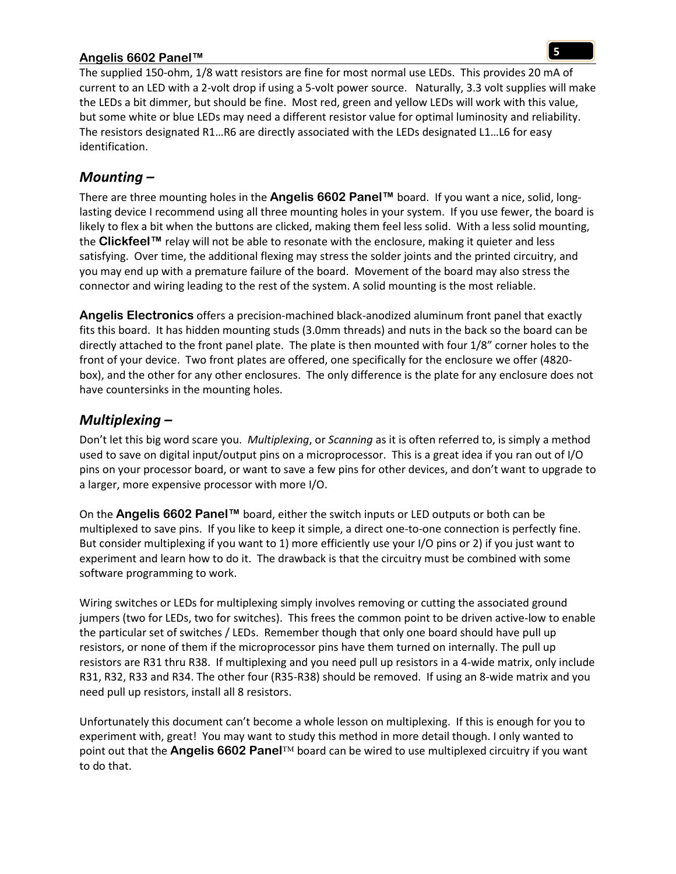The supplied 150-ohm, 1/8 watt resistors are fine for most normal use LEDs. This provides 20 mA of current to an LED with a 2-volt drop if using a 5-volt power source. Naturally, 3.3 volt supplies will make the LEDs a bit dimmer, but should be fine. Most red, green and yellow LEDs will work with this value, but some white or blue LEDs may need a different resistor value for optimal luminosity and reliability. The resistors designated R1…R6 are directly associated with the LEDs designated L1…L6 for easy identification.

## *Mounting –*

There are three mounting holes in the **Angelis 6602 Panel™** board. If you want a nice, solid, longlasting device I recommend using all three mounting holes in your system. If you use fewer, the board is likely to flex a bit when the buttons are clicked, making them feel less solid. With a less solid mounting, the **Clickfeel™** relay will not be able to resonate with the enclosure, making it quieter and less satisfying. Over time, the additional flexing may stress the solder joints and the printed circuitry, and you may end up with a premature failure of the board. Movement of the board may also stress the connector and wiring leading to the rest of the system. A solid mounting is the most reliable.

**Angelis Electronics** offers a precision-machined black-anodized aluminum front panel that exactly fits this board. It has hidden mounting studs (3.0mm threads) and nuts in the back so the board can be directly attached to the front panel plate. The plate is then mounted with four 1/8" corner holes to the front of your device. Two front plates are offered, one specifically for the enclosure we offer (4820 box), and the other for any other enclosures. The only difference is the plate for any enclosure does not have countersinks in the mounting holes.

# *Multiplexing –*

Don't let this big word scare you. *Multiplexing*, or *Scanning* as it is often referred to, is simply a method used to save on digital input/output pins on a microprocessor. This is a great idea if you ran out of I/O pins on your processor board, or want to save a few pins for other devices, and don't want to upgrade to a larger, more expensive processor with more I/O.

On the **Angelis 6602 Panel™** board, either the switch inputs or LED outputs or both can be multiplexed to save pins. If you like to keep it simple, a direct one-to-one connection is perfectly fine. But consider multiplexing if you want to 1) more efficiently use your I/O pins or 2) if you just want to experiment and learn how to do it. The drawback is that the circuitry must be combined with some software programming to work.

Wiring switches or LEDs for multiplexing simply involves removing or cutting the associated ground jumpers (two for LEDs, two for switches). This frees the common point to be driven active-low to enable the particular set of switches / LEDs. Remember though that only one board should have pull up resistors, or none of them if the microprocessor pins have them turned on internally. The pull up resistors are R31 thru R38. If multiplexing and you need pull up resistors in a 4-wide matrix, only include R31, R32, R33 and R34. The other four (R35-R38) should be removed. If using an 8-wide matrix and you need pull up resistors, install all 8 resistors.

Unfortunately this document can't become a whole lesson on multiplexing. If this is enough for you to experiment with, great! You may want to study this method in more detail though. I only wanted to point out that the **Angelis 6602 Panel™** board can be wired to use multiplexed circuitry if you want to do that.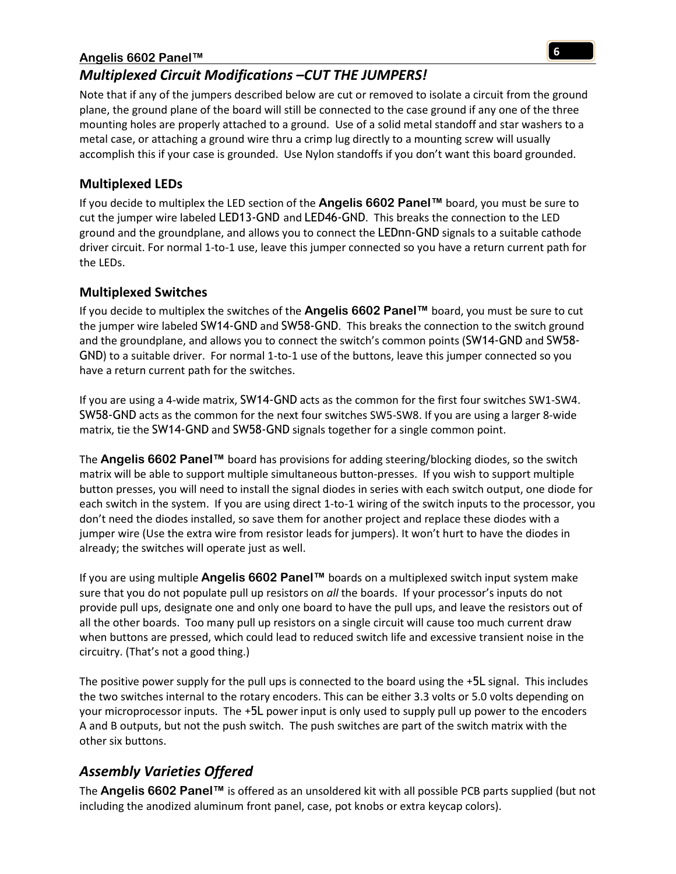# *Multiplexed Circuit Modifications –CUT THE JUMPERS!*

Note that if any of the jumpers described below are cut or removed to isolate a circuit from the ground plane, the ground plane of the board will still be connected to the case ground if any one of the three mounting holes are properly attached to a ground. Use of a solid metal standoff and star washers to a metal case, or attaching a ground wire thru a crimp lug directly to a mounting screw will usually accomplish this if your case is grounded. Use Nylon standoffs if you don't want this board grounded.

### **Multiplexed LEDs**

If you decide to multiplex the LED section of the **Angelis 6602 Panel™** board, you must be sure to cut the jumper wire labeled LED13-GND and LED46-GND. This breaks the connection to the LED ground and the groundplane, and allows you to connect the LEDnn-GND signals to a suitable cathode driver circuit. For normal 1-to-1 use, leave this jumper connected so you have a return current path for the LEDs.

#### **Multiplexed Switches**

If you decide to multiplex the switches of the **Angelis 6602 Panel™** board, you must be sure to cut the jumper wire labeled SW14-GND and SW58-GND. This breaks the connection to the switch ground and the groundplane, and allows you to connect the switch's common points (SW14-GND and SW58- GND) to a suitable driver. For normal 1-to-1 use of the buttons, leave this jumper connected so you have a return current path for the switches.

If you are using a 4-wide matrix, SW14-GND acts as the common for the first four switches SW1-SW4. SW58-GND acts as the common for the next four switches SW5-SW8. If you are using a larger 8-wide matrix, tie the SW14-GND and SW58-GND signals together for a single common point.

The **Angelis 6602 Panel™** board has provisions for adding steering/blocking diodes, so the switch matrix will be able to support multiple simultaneous button-presses. If you wish to support multiple button presses, you will need to install the signal diodes in series with each switch output, one diode for each switch in the system. If you are using direct 1-to-1 wiring of the switch inputs to the processor, you don't need the diodes installed, so save them for another project and replace these diodes with a jumper wire (Use the extra wire from resistor leads for jumpers). It won't hurt to have the diodes in already; the switches will operate just as well.

If you are using multiple **Angelis 6602 Panel™** boards on a multiplexed switch input system make sure that you do not populate pull up resistors on *all* the boards. If your processor's inputs do not provide pull ups, designate one and only one board to have the pull ups, and leave the resistors out of all the other boards. Too many pull up resistors on a single circuit will cause too much current draw when buttons are pressed, which could lead to reduced switch life and excessive transient noise in the circuitry. (That's not a good thing.)

The positive power supply for the pull ups is connected to the board using the +5L signal. This includes the two switches internal to the rotary encoders. This can be either 3.3 volts or 5.0 volts depending on your microprocessor inputs. The +5L power input is only used to supply pull up power to the encoders A and B outputs, but not the push switch. The push switches are part of the switch matrix with the other six buttons.

# *Assembly Varieties Offered*

The **Angelis 6602 Panel™** is offered as an unsoldered kit with all possible PCB parts supplied (but not including the anodized aluminum front panel, case, pot knobs or extra keycap colors).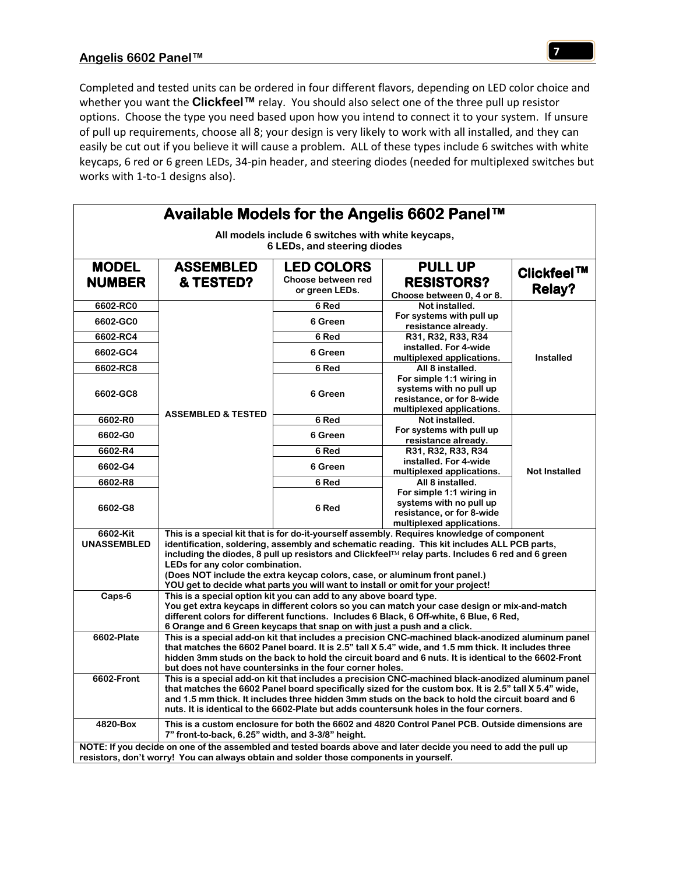Completed and tested units can be ordered in four different flavors, depending on LED color choice and whether you want the **Clickfeel™** relay. You should also select one of the three pull up resistor options. Choose the type you need based upon how you intend to connect it to your system. If unsure of pull up requirements, choose all 8; your design is very likely to work with all installed, and they can easily be cut out if you believe it will cause a problem. ALL of these types include 6 switches with white keycaps, 6 red or 6 green LEDs, 34-pin header, and steering diodes (needed for multiplexed switches but works with 1-to-1 designs also).

| Available Models for the Angelis 6602 Panel™                                                                                                                                                                                                                                                                                                                                                                                                                                                                                                    |                                                                                                                                                                                                                                                                                                                                                                                                           |                                                           |                                                                                                               |                                    |
|-------------------------------------------------------------------------------------------------------------------------------------------------------------------------------------------------------------------------------------------------------------------------------------------------------------------------------------------------------------------------------------------------------------------------------------------------------------------------------------------------------------------------------------------------|-----------------------------------------------------------------------------------------------------------------------------------------------------------------------------------------------------------------------------------------------------------------------------------------------------------------------------------------------------------------------------------------------------------|-----------------------------------------------------------|---------------------------------------------------------------------------------------------------------------|------------------------------------|
| All models include 6 switches with white keycaps,                                                                                                                                                                                                                                                                                                                                                                                                                                                                                               |                                                                                                                                                                                                                                                                                                                                                                                                           |                                                           |                                                                                                               |                                    |
| 6 LEDs, and steering diodes                                                                                                                                                                                                                                                                                                                                                                                                                                                                                                                     |                                                                                                                                                                                                                                                                                                                                                                                                           |                                                           |                                                                                                               |                                    |
| <b>MODEL</b><br><b>NUMBER</b>                                                                                                                                                                                                                                                                                                                                                                                                                                                                                                                   | <b>ASSEMBLED</b><br>& TESTED?                                                                                                                                                                                                                                                                                                                                                                             | <b>LED COLORS</b><br>Choose between red<br>or green LEDs. | <b>PULL UP</b><br><b>RESISTORS?</b>                                                                           | <b>Clickfeel™</b><br><b>Relay?</b> |
| 6602-RC0                                                                                                                                                                                                                                                                                                                                                                                                                                                                                                                                        |                                                                                                                                                                                                                                                                                                                                                                                                           | 6 Red                                                     | Choose between 0, 4 or 8.<br>Not installed.                                                                   |                                    |
| 6602-GC0                                                                                                                                                                                                                                                                                                                                                                                                                                                                                                                                        |                                                                                                                                                                                                                                                                                                                                                                                                           | 6 Green                                                   | For systems with pull up                                                                                      |                                    |
| 6602-RC4                                                                                                                                                                                                                                                                                                                                                                                                                                                                                                                                        |                                                                                                                                                                                                                                                                                                                                                                                                           | 6 Red                                                     | resistance already.<br>R31, R32, R33, R34                                                                     |                                    |
| 6602-GC4                                                                                                                                                                                                                                                                                                                                                                                                                                                                                                                                        |                                                                                                                                                                                                                                                                                                                                                                                                           | 6 Green                                                   | installed. For 4-wide<br>multiplexed applications.                                                            | <b>Installed</b>                   |
| 6602-RC8                                                                                                                                                                                                                                                                                                                                                                                                                                                                                                                                        |                                                                                                                                                                                                                                                                                                                                                                                                           | 6 Red                                                     | All 8 installed.                                                                                              |                                    |
| 6602-GC8                                                                                                                                                                                                                                                                                                                                                                                                                                                                                                                                        |                                                                                                                                                                                                                                                                                                                                                                                                           | 6 Green                                                   | For simple 1:1 wiring in<br>systems with no pull up<br>resistance, or for 8-wide<br>multiplexed applications. |                                    |
| 6602-R0                                                                                                                                                                                                                                                                                                                                                                                                                                                                                                                                         | <b>ASSEMBLED &amp; TESTED</b>                                                                                                                                                                                                                                                                                                                                                                             | 6 Red                                                     | Not installed.                                                                                                |                                    |
| 6602-G0                                                                                                                                                                                                                                                                                                                                                                                                                                                                                                                                         |                                                                                                                                                                                                                                                                                                                                                                                                           | 6 Green                                                   | For systems with pull up<br>resistance already.                                                               |                                    |
| 6602-R4                                                                                                                                                                                                                                                                                                                                                                                                                                                                                                                                         |                                                                                                                                                                                                                                                                                                                                                                                                           | 6 Red                                                     | R31, R32, R33, R34                                                                                            |                                    |
| 6602-G4                                                                                                                                                                                                                                                                                                                                                                                                                                                                                                                                         |                                                                                                                                                                                                                                                                                                                                                                                                           | 6 Green                                                   | installed. For 4-wide<br>multiplexed applications.                                                            | <b>Not Installed</b>               |
| 6602-R8                                                                                                                                                                                                                                                                                                                                                                                                                                                                                                                                         |                                                                                                                                                                                                                                                                                                                                                                                                           | $6$ Red                                                   | All 8 installed.                                                                                              |                                    |
| 6602-G8                                                                                                                                                                                                                                                                                                                                                                                                                                                                                                                                         |                                                                                                                                                                                                                                                                                                                                                                                                           | 6 Red                                                     | For simple 1:1 wiring in<br>systems with no pull up<br>resistance, or for 8-wide<br>multiplexed applications. |                                    |
| This is a special kit that is for do-it-yourself assembly. Requires knowledge of component<br>6602-Kit<br><b>UNASSEMBLED</b><br>identification, soldering, assembly and schematic reading. This kit includes ALL PCB parts,<br>including the diodes, 8 pull up resistors and Clickfeel <sup>™</sup> relay parts. Includes 6 red and 6 green<br>LEDs for any color combination.<br>(Does NOT include the extra keycap colors, case, or aluminum front panel.)<br>YOU get to decide what parts you will want to install or omit for your project! |                                                                                                                                                                                                                                                                                                                                                                                                           |                                                           |                                                                                                               |                                    |
| Caps-6                                                                                                                                                                                                                                                                                                                                                                                                                                                                                                                                          | This is a special option kit you can add to any above board type.<br>You get extra keycaps in different colors so you can match your case design or mix-and-match<br>different colors for different functions. Includes 6 Black, 6 Off-white, 6 Blue, 6 Red,<br>6 Orange and 6 Green keycaps that snap on with just a push and a click.                                                                   |                                                           |                                                                                                               |                                    |
| 6602-Plate                                                                                                                                                                                                                                                                                                                                                                                                                                                                                                                                      | This is a special add-on kit that includes a precision CNC-machined black-anodized aluminum panel<br>that matches the 6602 Panel board. It is 2.5" tall X 5.4" wide, and 1.5 mm thick. It includes three<br>hidden 3mm studs on the back to hold the circuit board and 6 nuts. It is identical to the 6602-Front<br>but does not have countersinks in the four corner holes.                              |                                                           |                                                                                                               |                                    |
| 6602-Front                                                                                                                                                                                                                                                                                                                                                                                                                                                                                                                                      | This is a special add-on kit that includes a precision CNC-machined black-anodized aluminum panel<br>that matches the 6602 Panel board specifically sized for the custom box. It is 2.5" tall X 5.4" wide,<br>and 1.5 mm thick. It includes three hidden 3mm studs on the back to hold the circuit board and 6<br>nuts. It is identical to the 6602-Plate but adds countersunk holes in the four corners. |                                                           |                                                                                                               |                                    |
| 4820-Box                                                                                                                                                                                                                                                                                                                                                                                                                                                                                                                                        | This is a custom enclosure for both the 6602 and 4820 Control Panel PCB. Outside dimensions are<br>7" front-to-back, 6.25" width, and 3-3/8" height.                                                                                                                                                                                                                                                      |                                                           |                                                                                                               |                                    |
| NOTE: If you decide on one of the assembled and tested boards above and later decide you need to add the pull up<br>resistors, don't worry! You can always obtain and solder those components in yourself.                                                                                                                                                                                                                                                                                                                                      |                                                                                                                                                                                                                                                                                                                                                                                                           |                                                           |                                                                                                               |                                    |